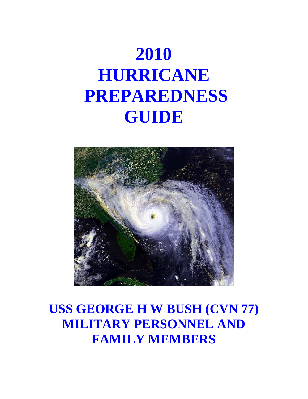# **2010 HURRICANE PREPAREDNESS GUIDE**



## **USS GEORGE H W BUSH (CVN 77) MILITARY PERSONNEL AND FAMILY MEMBERS**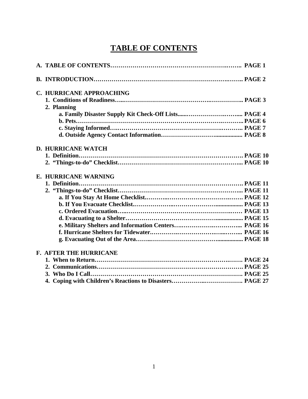### **TABLE OF CONTENTS**

| C. HURRICANE APPROACHING      |  |
|-------------------------------|--|
|                               |  |
| 2. Planning                   |  |
|                               |  |
|                               |  |
|                               |  |
|                               |  |
| <b>D. HURRICANE WATCH</b>     |  |
|                               |  |
|                               |  |
| E. HURRICANE WARNING          |  |
|                               |  |
|                               |  |
|                               |  |
|                               |  |
|                               |  |
|                               |  |
|                               |  |
|                               |  |
|                               |  |
| <b>F. AFTER THE HURRICANE</b> |  |
|                               |  |
|                               |  |
|                               |  |
|                               |  |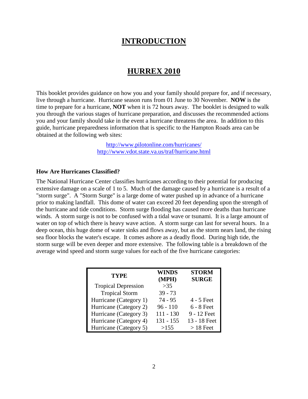### **INTRODUCTION**

### **HURREX 2010**

This booklet provides guidance on how you and your family should prepare for, and if necessary, live through a hurricane. Hurricane season runs from 01 June to 30 November. **NOW** is the time to prepare for a hurricane, **NOT** when it is 72 hours away. The booklet is designed to walk you through the various stages of hurricane preparation, and discusses the recommended actions you and your family should take in the event a hurricane threatens the area. In addition to this guide, hurricane preparedness information that is specific to the Hampton Roads area can be obtained at the following web sites:

> <http://www.pilotonline.com/hurricanes/> <http://www.vdot.state.va.us/traf/hurricane.html>

### **How Are Hurricanes Classified?**

The National Hurricane Center classifies hurricanes according to their potential for producing extensive damage on a scale of 1 to 5. Much of the damage caused by a hurricane is a result of a "storm surge". A "Storm Surge" is a large dome of water pushed up in advance of a hurricane prior to making landfall. This dome of water can exceed 20 feet depending upon the strength of the hurricane and tide conditions. Storm surge flooding has caused more deaths than hurricane winds. A storm surge is not to be confused with a tidal wave or tsunami. It is a large amount of water on top of which there is heavy wave action. A storm surge can last for several hours. In a deep ocean, this huge dome of water sinks and flows away, but as the storm nears land, the rising sea floor blocks the water's escape. It comes ashore as a deadly flood. During high tide, the storm surge will be even deeper and more extensive. The following table is a breakdown of the average wind speed and storm surge values for each of the five hurricane categories:

| <b>TYPE</b>                | <b>WINDS</b><br>(MPH) | <b>STORM</b><br><b>SURGE</b> |
|----------------------------|-----------------------|------------------------------|
| <b>Tropical Depression</b> | >35                   |                              |
| <b>Tropical Storm</b>      | $39 - 73$             |                              |
| Hurricane (Category 1)     | $74 - 95$             | $4 - 5$ Feet                 |
| Hurricane (Category 2)     | $96 - 110$            | $6 - 8$ Feet                 |
| Hurricane (Category 3)     | $111 - 130$           | 9 - 12 Feet                  |
| Hurricane (Category 4)     | $131 - 155$           | 13 - 18 Feet                 |
| Hurricane (Category 5)     | >155                  | $>$ 18 Feet                  |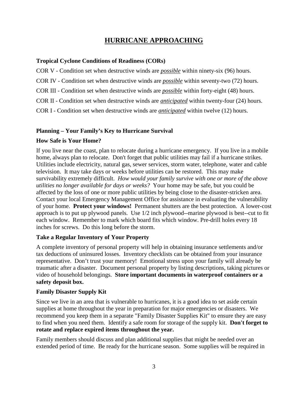### **HURRICANE APPROACHING**

### **Tropical Cyclone Conditions of Readiness (CORs)**

- COR V Condition set when destructive winds are *possible* within ninety-six (96) hours.
- COR IV Condition set when destructive winds are *possible* within seventy-two (72) hours.
- COR III Condition set when destructive winds are *possible* within forty-eight (48) hours.
- COR II Condition set when destructive winds are *anticipated* within twenty-four (24) hours.

COR I - Condition set when destructive winds are *anticipated* within twelve (12) hours.

### **Planning – Your Family's Key to Hurricane Survival**

### **How Safe is Your Home?**

If you live near the coast, plan to relocate during a hurricane emergency. If you live in a mobile home, always plan to relocate. Don't forget that public utilities may fail if a hurricane strikes. Utilities include electricity, natural gas, sewer services, storm water, telephone, water and cable television. It may take days or weeks before utilities can be restored. This may make survivability extremely difficult. *How would your family survive with one or more of the above utilities no longer available for days or weeks?* Your home may be safe, but you could be affected by the loss of one or more public utilities by being close to the disaster-stricken area. Contact your local Emergency Management Office for assistance in evaluating the vulnerability of your home. **Protect your windows!** Permanent shutters are the best protection. A lower-cost approach is to put up plywood panels. Use 1/2 inch plywood--marine plywood is best--cut to fit each window. Remember to mark which board fits which window. Pre-drill holes every 18 inches for screws. Do this long before the storm.

### **Take a Regular Inventory of Your Property**

A complete inventory of personal property will help in obtaining insurance settlements and/or tax deductions of uninsured losses. Inventory checklists can be obtained from your insurance representative. Don't trust your memory! Emotional stress upon your family will already be traumatic after a disaster. Document personal property by listing descriptions, taking pictures or video of household belongings. **Store important documents in waterproof containers or a safety deposit box.**

### **Family Disaster Supply Kit**

Since we live in an area that is vulnerable to hurricanes, it is a good idea to set aside certain supplies at home throughout the year in preparation for major emergencies or disasters. We recommend you keep them in a separate "Family Disaster Supplies Kit" to ensure they are easy to find when you need them. Identify a safe room for storage of the supply kit. **Don't forget to rotate and replace expired items throughout the year.**

Family members should discuss and plan additional supplies that might be needed over an extended period of time. Be ready for the hurricane season. Some supplies will be required in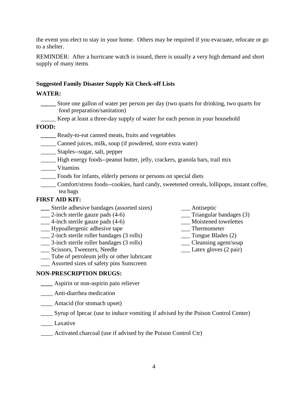the event you elect to stay in your home. Others may be required if you evacuate, relocate or go to a shelter.

REMINDER: After a hurricane watch is issued, there is usually a very high demand and short supply of many items

### **Suggested Family Disaster Supply Kit Check-off Lists**

### **WATER:**

- **\_\_\_\_\_** Store one gallon of water per person per day (two quarts for drinking, two quarts for food preparation/sanitation)
- \_\_\_\_\_ Keep at least a three-day supply of water for each person in your household

### **FOOD:**

- **\_\_\_\_\_** Ready-to-eat canned meats, fruits and vegetables
- \_\_\_\_\_ Canned juices, milk, soup (if powdered, store extra water)
- \_\_\_\_\_ Staples--sugar, salt, pepper
- \_\_\_\_\_ High energy foods--peanut butter, jelly, crackers, granola bars, trail mix
- \_\_\_\_\_ Vitamins
- \_\_\_\_\_ Foods for infants, elderly persons or persons on special diets
- \_\_\_\_\_ Comfort/stress foods--cookies, hard candy, sweetened cereals, lollipops, instant coffee, tea bags

### **FIRST AID KIT:**

- Let a Sterile adhesive bandages (assorted sizes)<br>
2-inch sterile gauze pads (4-6)<br> **Let a** Triangular bandages (3)
- $\frac{1}{2}$ -inch sterile gauze pads (4-6)
- \_\_\_ 4-inch sterile gauze pads (4-6) \_\_\_ Moistened towelettes
- 
- \_\_\_ Hypoallergenic adhesive tape \_\_\_\_\_\_\_ Thermometer \_\_\_\_\_\_\_\_ Thermometer 2-inch sterile roller bandages (3 rolls) \_\_\_\_\_\_\_\_ Tongue Blades (2)  $\frac{1}{2}$ -inch sterile roller bandages (3 rolls)
- \_\_\_ 3-inch sterile roller bandages (3 rolls) \_\_\_ Cleansing agent/soap
- \_\_\_ Scissors, Tweezers, Needle \_\_\_ Latex gloves (2 pair)
- \_\_\_ Tube of petroleum jelly or other lubricant
- \_\_\_ Assorted sizes of safety pins Sunscreen

- 
- 
- 
- 
- 
- 

### **NON-PRESCRIPTION DRUGS:**

- **\_\_\_\_** Aspirin or non-aspirin pain reliever
- \_\_\_\_ Anti-diarrhea medication
- \_\_\_\_ Antacid (for stomach upset)
- \_\_\_\_ Syrup of Ipecac (use to induce vomiting if advised by the Poison Control Center)
- \_\_\_\_ Laxative
- Activated charcoal (use if advised by the Poison Control Ctr)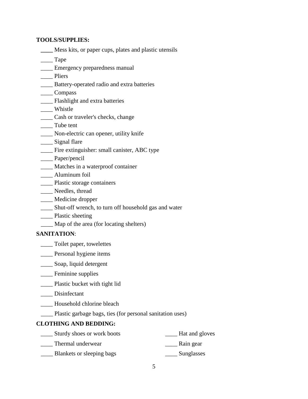### **TOOLS/SUPPLIES:**

- **\_\_\_\_** Mess kits, or paper cups, plates and plastic utensils
- \_\_\_\_ Tape
- \_\_\_\_ Emergency preparedness manual
- \_\_\_\_ Pliers
- \_\_\_\_ Battery-operated radio and extra batteries
- \_\_\_\_ Compass
- **\_\_\_\_\_** Flashlight and extra batteries
- \_\_\_\_ Whistle
- \_\_\_\_ Cash or traveler's checks, change
- \_\_\_\_ Tube tent
- \_\_\_\_ Non-electric can opener, utility knife
- \_\_\_\_ Signal flare
- \_\_\_\_ Fire extinguisher: small canister, ABC type
- \_\_\_\_ Paper/pencil
- \_\_\_\_ Matches in a waterproof container
- \_\_\_\_ Aluminum foil
- \_\_\_\_ Plastic storage containers
- Needles, thread
- \_\_\_\_ Medicine dropper
- \_\_\_\_ Shut-off wrench, to turn off household gas and water
- \_\_\_\_ Plastic sheeting
- \_\_\_\_ Map of the area (for locating shelters)

### **SANITATION**:

- \_\_\_\_ Toilet paper, towelettes
- \_\_\_\_ Personal hygiene items
- \_\_\_\_ Soap, liquid detergent
- \_\_\_\_ Feminine supplies
- \_\_\_\_ Plastic bucket with tight lid
- \_\_\_\_ Disinfectant
- \_\_\_\_ Household chlorine bleach
- \_\_\_\_ Plastic garbage bags, ties (for personal sanitation uses)

### **CLOTHING AND BEDDING:**

- \_\_\_\_ Sturdy shoes or work boots \_\_\_\_ Hat and gloves
- \_\_\_\_ Thermal underwear \_\_\_\_ Rain gear
- \_\_\_\_ Blankets or sleeping bags \_\_\_\_ Sunglasses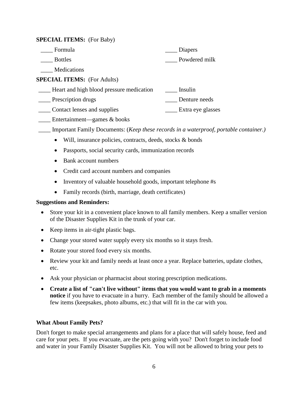### **SPECIAL ITEMS:** (For Baby)

| Formula                                  | Diapers           |
|------------------------------------------|-------------------|
| <b>Bottles</b>                           | Powdered milk     |
| Medications                              |                   |
| <b>SPECIAL ITEMS:</b> (For Adults)       |                   |
| Heart and high blood pressure medication | Insulin           |
| Prescription drugs                       | Denture needs     |
| Contact lenses and supplies              | Extra eye glasses |
|                                          |                   |

- Entertainment—games & books
- \_\_\_\_ Important Family Documents: (*Keep these records in a waterproof, portable container.)*
	- Will, insurance policies, contracts, deeds, stocks & bonds
	- Passports, social security cards, immunization records
	- Bank account numbers
	- Credit card account numbers and companies
	- Inventory of valuable household goods, important telephone #s
	- Family records (birth, marriage, death certificates)

### **Suggestions and Reminders:**

- Store your kit in a convenient place known to all family members. Keep a smaller version of the Disaster Supplies Kit in the trunk of your car.
- Keep items in air-tight plastic bags.
- Change your stored water supply every six months so it stays fresh.
- Rotate your stored food every six months.
- Review your kit and family needs at least once a year. Replace batteries, update clothes, etc.
- Ask your physician or pharmacist about storing prescription medications.
- **Create a list of "can't live without" items that you would want to grab in a moments notice** if you have to evacuate in a hurry. Each member of the family should be allowed a few items (keepsakes, photo albums, etc.) that will fit in the car with you.

### **What About Family Pets?**

Don't forget to make special arrangements and plans for a place that will safely house, feed and care for your pets. If you evacuate, are the pets going with you? Don't forget to include food and water in your Family Disaster Supplies Kit. You will not be allowed to bring your pets to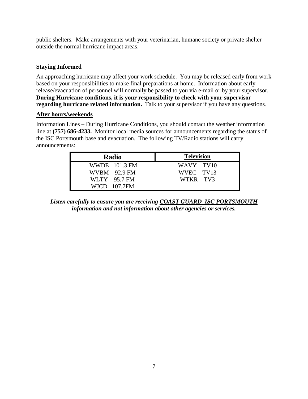public shelters. Make arrangements with your veterinarian, humane society or private shelter outside the normal hurricane impact areas.

### **Staying Informed**

An approaching hurricane may affect your work schedule. You may be released early from work based on your responsibilities to make final preparations at home. Information about early release/evacuation of personnel will normally be passed to you via e-mail or by your supervisor. **During Hurricane conditions, it is your responsibility to check with your supervisor regarding hurricane related information.** Talk to your supervisor if you have any questions.

### **After hours/weekends**

Information Lines – During Hurricane Conditions, you should contact the weather information line at **(757) 686-4233.** Monitor local media sources for announcements regarding the status of the ISC Portsmouth base and evacuation. The following TV/Radio stations will carry announcements:

| <b>Radio</b>  | <b>Television</b> |
|---------------|-------------------|
| WWDE 101.3 FM | WAVY TV10         |
| WVBM 92.9 FM  | WVEC TV13         |
| WLTY 95.7 FM  | WTKR TV3          |
| WJCD 107.7FM  |                   |

*Listen carefully to ensure you are receiving COAST GUARD ISC PORTSMOUTH information and not information about other agencies or services.*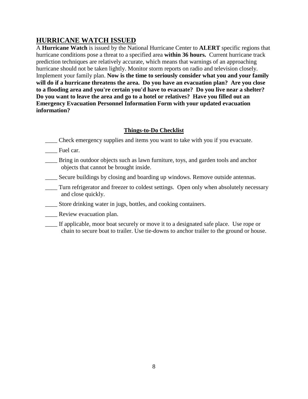### **HURRICANE WATCH ISSUED**

A **Hurricane Watch** is issued by the National Hurricane Center to **ALERT** specific regions that hurricane conditions pose a threat to a specified area **within 36 hours.** Current hurricane track prediction techniques are relatively accurate, which means that warnings of an approaching hurricane should not be taken lightly. Monitor storm reports on radio and television closely. Implement your family plan. **Now is the time to seriously consider what you and your family will do if a hurricane threatens the area. Do you have an evacuation plan? Are you close to a flooding area and you're certain you'd have to evacuate? Do you live near a shelter? Do you want to leave the area and go to a hotel or relatives? Have you filled out an Emergency Evacuation Personnel Information Form with your updated evacuation information?**

### **Things-to-Do Checklist**

- \_\_\_\_ Check emergency supplies and items you want to take with you if you evacuate.
- \_\_\_\_ Fuel car.
- \_\_\_\_ Bring in outdoor objects such as lawn furniture, toys, and garden tools and anchor objects that cannot be brought inside.
- \_\_\_\_ Secure buildings by closing and boarding up windows. Remove outside antennas.
- \_\_\_\_ Turn refrigerator and freezer to coldest settings. Open only when absolutely necessary and close quickly.
- \_\_\_\_ Store drinking water in jugs, bottles, and cooking containers.
- \_\_\_\_ Review evacuation plan.
- \_\_\_\_ If applicable, moor boat securely or move it to a designated safe place. Use rope or chain to secure boat to trailer. Use tie-downs to anchor trailer to the ground or house.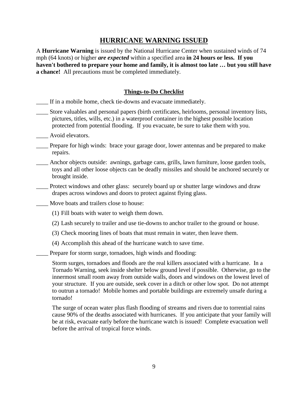### **HURRICANE WARNING ISSUED**

A **Hurricane Warning** is issued by the National Hurricane Center when sustained winds of 74 mph (64 knots) or higher *are expected* within a specified area **in 24 hours or less. If you haven't bothered to prepare your home and family, it is almost too late … but you still have a chance!** All precautions must be completed immediately.

### **Things-to-Do Checklist**

If in a mobile home, check tie-downs and evacuate immediately.

- \_\_\_\_ Store valuables and personal papers (birth certificates, heirlooms, personal inventory lists, pictures, titles, wills, etc.) in a waterproof container in the highest possible location protected from potential flooding. If you evacuate, be sure to take them with you.
- Avoid elevators.
- \_\_\_\_ Prepare for high winds: brace your garage door, lower antennas and be prepared to make repairs.
- \_\_\_\_ Anchor objects outside: awnings, garbage cans, grills, lawn furniture, loose garden tools, toys and all other loose objects can be deadly missiles and should be anchored securely or brought inside.
- Protect windows and other glass: securely board up or shutter large windows and draw drapes across windows and doors to protect against flying glass.
- \_\_\_\_ Move boats and trailers close to house:
	- (1) Fill boats with water to weigh them down.
	- (2) Lash securely to trailer and use tie-downs to anchor trailer to the ground or house.
	- (3) Check mooring lines of boats that must remain in water, then leave them.
	- (4) Accomplish this ahead of the hurricane watch to save time.

Prepare for storm surge, tornadoes, high winds and flooding:

Storm surges, tornadoes and floods are the real killers associated with a hurricane. In a Tornado Warning, seek inside shelter below ground level if possible. Otherwise, go to the innermost small room away from outside walls, doors and windows on the lowest level of your structure. If you are outside, seek cover in a ditch or other low spot. Do not attempt to outrun a tornado! Mobile homes and portable buildings are extremely unsafe during a tornado!

The surge of ocean water plus flash flooding of streams and rivers due to torrential rains cause 90% of the deaths associated with hurricanes. If you anticipate that your family will be at risk, evacuate early before the hurricane watch is issued! Complete evacuation well before the arrival of tropical force winds.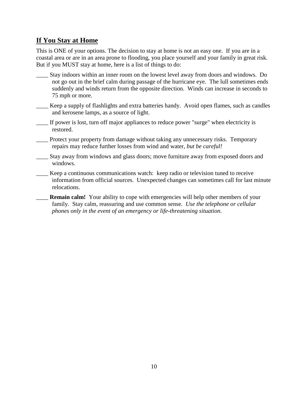### **If You Stay at Home**

This is ONE of your options. The decision to stay at home is not an easy one. If you are in a coastal area or are in an area prone to flooding, you place yourself and your family in great risk. But if you MUST stay at home, here is a list of things to do:

- \_\_\_\_ Stay indoors within an inner room on the lowest level away from doors and windows. Do not go out in the brief calm during passage of the hurricane eye. The lull sometimes ends suddenly and winds return from the opposite direction. Winds can increase in seconds to 75 mph or more.
- Keep a supply of flashlights and extra batteries handy. Avoid open flames, such as candles and kerosene lamps, as a source of light.
- If power is lost, turn off major appliances to reduce power "surge" when electricity is restored.
- \_\_\_\_ Protect your property from damage without taking any unnecessary risks. Temporary repairs may reduce further losses from wind and water, *but be careful!*
- \_\_\_\_ Stay away from windows and glass doors; move furniture away from exposed doors and windows.
- \_\_\_\_ Keep a continuous communications watch: keep radio or television tuned to receive information from official sources. Unexpected changes can sometimes call for last minute relocations.
	- **Remain calm!** Your ability to cope with emergencies will help other members of your family. Stay calm, reassuring and use common sense*. Use the telephone or cellular phones only in the event of an emergency or life-threatening situation.*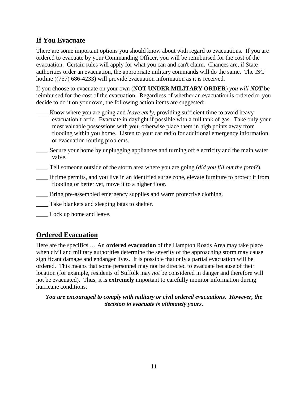### **If You Evacuate**

There are some important options you should know about with regard to evacuations. If you are ordered to evacuate by your Commanding Officer, you will be reimbursed for the cost of the evacuation. Certain rules will apply for what you can and can't claim. Chances are, if State authorities order an evacuation, the appropriate military commands will do the same. The ISC hotline ((757) 686-4233) will provide evacuation information as it is received.

If you choose to evacuate on your own (**NOT UNDER MILITARY ORDER**) *you will NOT* be reimbursed for the cost of the evacuation. Regardless of whether an evacuation is ordered or you decide to do it on your own, the following action items are suggested:

- \_\_\_\_ Know where you are going and *leave early*, providing sufficient time to avoid heavy evacuation traffic. Evacuate in daylight if possible with a full tank of gas. Take only your most valuable possessions with you; otherwise place them in high points away from flooding within you home. Listen to your car radio for additional emergency information or evacuation routing problems.
- \_\_\_\_ Secure your home by unplugging appliances and turning off electricity and the main water valve.
- \_\_\_\_ Tell someone outside of the storm area where you are going (*did you fill out the form*?).
- \_\_\_\_ If time permits, and you live in an identified surge zone, elevate furniture to protect it from flooding or better yet, move it to a higher floor.
- Bring pre-assembled emergency supplies and warm protective clothing.
- \_\_\_\_ Take blankets and sleeping bags to shelter.
- \_\_\_\_ Lock up home and leave.

### **Ordered Evacuation**

Here are the specifics … An **ordered evacuation** of the Hampton Roads Area may take place when civil and military authorities determine the severity of the approaching storm may cause significant damage and endanger lives. It is possible that only a partial evacuation will be ordered. This means that some personnel may not be directed to evacuate because of their location (for example, residents of Suffolk may *not* be considered in danger and therefore will not be evacuated). Thus, it is **extremely** important to carefully monitor information during hurricane conditions.

*You are encouraged to comply with military or civil ordered evacuations. However, the decision to evacuate is ultimately yours.*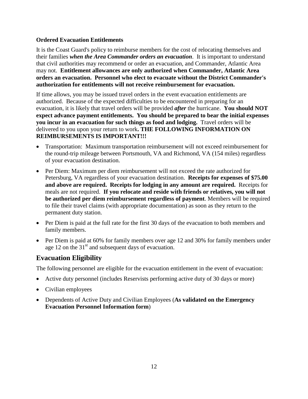### **Ordered Evacuation Entitlements**

It is the Coast Guard's policy to reimburse members for the cost of relocating themselves and their families *when the Area Commander orders an evacuation*. It is important to understand that civil authorities may recommend or order an evacuation, and Commander, Atlantic Area may not. **Entitlement allowances are only authorized when Commander, Atlantic Area orders an evacuation. Personnel who elect to evacuate without the District Commander's authorization for entitlements will not receive reimbursement for evacuation.**

If time allows, you may be issued travel orders in the event evacuation entitlements are authorized. Because of the expected difficulties to be encountered in preparing for an evacuation, it is likely that travel orders will be provided *after* the hurricane. **You should NOT expect advance payment entitlements. You should be prepared to bear the initial expenses you incur in an evacuation for such things as food and lodging.** Travel orders will be delivered to you upon your return to work**. THE FOLLOWING INFORMATION ON REIMBURSEMENTS IS IMPORTANT!!!**

- Transportation: Maximum transportation reimbursement will not exceed reimbursement for the round-trip mileage between Portsmouth, VA and Richmond, VA (154 miles) regardless of your evacuation destination.
- Per Diem: Maximum per diem reimbursement will not exceed the rate authorized for Petersburg, VA regardless of your evacuation destination. **Receipts for expenses of \$75.00 and above are required. Receipts for lodging in any amount are required.** Receipts for meals are not required. **If you relocate and reside with friends or relatives, you will not be authorized per diem reimbursement regardless of payment**. Members will be required to file their travel claims (with appropriate documentation) as soon as they return to the permanent duty station.
- Per Diem is paid at the full rate for the first 30 days of the evacuation to both members and family members.
- Per Diem is paid at 60% for family members over age 12 and 30% for family members under age 12 on the  $31<sup>st</sup>$  and subsequent days of evacuation.

### **Evacuation Eligibility**

The following personnel are eligible for the evacuation entitlement in the event of evacuation:

- Active duty personnel (includes Reservists performing active duty of 30 days or more)
- Civilian employees
- Dependents of Active Duty and Civilian Employees (**As validated on the Emergency Evacuation Personnel Information form**)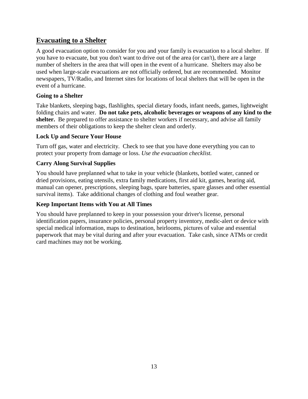### **Evacuating to a Shelter**

A good evacuation option to consider for you and your family is evacuation to a local shelter. If you have to evacuate, but you don't want to drive out of the area (or can't), there are a large number of shelters in the area that will open in the event of a hurricane. Shelters may also be used when large-scale evacuations are not officially ordered, but are recommended. Monitor newspapers, TV/Radio, and Internet sites for locations of local shelters that will be open in the event of a hurricane.

### **Going to a Shelter**

Take blankets, sleeping bags, flashlights, special dietary foods, infant needs, games, lightweight folding chairs and water. **Do not take pets, alcoholic beverages or weapons of any kind to the shelter.** Be prepared to offer assistance to shelter workers if necessary, and advise all family members of their obligations to keep the shelter clean and orderly.

### **Lock Up and Secure Your House**

Turn off gas, water and electricity. Check to see that you have done everything you can to protect your property from damage or loss. *Use the evacuation checklist.*

### **Carry Along Survival Supplies**

You should have preplanned what to take in your vehicle (blankets, bottled water, canned or dried provisions, eating utensils, extra family medications, first aid kit, games, hearing aid, manual can opener, prescriptions, sleeping bags, spare batteries, spare glasses and other essential survival items). Take additional changes of clothing and foul weather gear.

### **Keep Important Items with You at All Times**

You should have preplanned to keep in your possession your driver's license, personal identification papers, insurance policies, personal property inventory, medic-alert or device with special medical information, maps to destination, heirlooms, pictures of value and essential paperwork that may be vital during and after your evacuation. Take cash, since ATMs or credit card machines may not be working.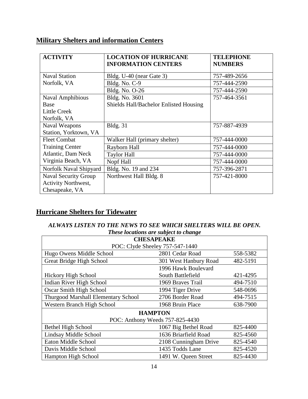### **Military Shelters and information Centers**

| <b>ACTIVITY</b>             | <b>LOCATION OF HURRICANE</b><br><b>INFORMATION CENTERS</b> | <b>TELEPHONE</b><br><b>NUMBERS</b> |
|-----------------------------|------------------------------------------------------------|------------------------------------|
| <b>Naval Station</b>        | Bldg. U-40 (near Gate 3)                                   | 757-489-2656                       |
| Norfolk, VA                 | Bldg. No. C-9                                              | 757-444-2590                       |
|                             | <b>Bldg. No. O-26</b>                                      | 757-444-2590                       |
| <b>Naval Amphibious</b>     | Bldg. No. 3601                                             | 757-464-3561                       |
| Base                        | Shields Hall/Bachelor Enlisted Housing                     |                                    |
| Little Creek                |                                                            |                                    |
| Norfolk, VA                 |                                                            |                                    |
| <b>Naval Weapons</b>        | <b>Bldg.</b> 31                                            | 757-887-4939                       |
| Station, Yorktown, VA       |                                                            |                                    |
| <b>Fleet Combat</b>         | Walker Hall (primary shelter)                              | 757-444-0000                       |
| <b>Training Center</b>      | Rayborn Hall                                               | 757-444-0000                       |
| Atlantic, Dam Neck          | <b>Taylor Hall</b>                                         | 757-444-0000                       |
| Virginia Beach, VA          | Nopf Hall                                                  | 757-444-0000                       |
| Norfolk Naval Shipyard      | Bldg. No. 19 and 234                                       | 757-396-2871                       |
| <b>Naval Security Group</b> | Northwest Hall Bldg. 8                                     | 757-421-8000                       |
| Activity Northwest,         |                                                            |                                    |
| Chesapeake, VA              |                                                            |                                    |

### **Hurricane Shelters for Tidewater**

### *ALWAYS LISTEN TO THE NEWS TO SEE WHICH SHELTERS WILL BE OPEN. These locations are subject to change*

| <b>CHESAPEAKE</b>                   |                       |          |  |
|-------------------------------------|-----------------------|----------|--|
| POC: Clyde Sheeley 757-547-1440     |                       |          |  |
| Hugo Owens Middle School            | 2801 Cedar Road       | 558-5382 |  |
| Great Bridge High School            | 301 West Hanbury Road | 482-5191 |  |
|                                     | 1996 Hawk Boulevard   |          |  |
| <b>Hickory High School</b>          | South Battlefield     | 421-4295 |  |
| Indian River High School            | 1969 Braves Trail     | 494-7510 |  |
| <b>Oscar Smith High School</b>      | 1994 Tiger Drive      | 548-0696 |  |
| Thurgood Marshall Elementary School | 2706 Border Road      | 494-7515 |  |
| Western Branch High School          | 1968 Bruin Place      | 638-7900 |  |
| <b>HAMPTON</b>                      |                       |          |  |
| POC: Anthony Weeds 757-825-4430     |                       |          |  |
| Bethel High School                  | 1067 Big Bethel Road  | 825-4400 |  |
| Lindsay Middle School               | 1636 Briarfield Road  | 825-4560 |  |
| Eaton Middle School                 | 2108 Cunningham Drive | 825-4540 |  |
| Davis Middle School                 | 1435 Todds Lane       | 825-4520 |  |
| <b>Hampton High School</b>          | 1491 W. Queen Street  | 825-4430 |  |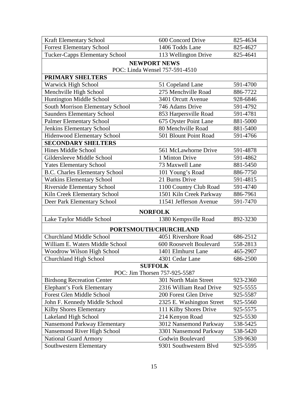| Kraft Elementary School                 | 600 Concord Drive         | 825-4634 |
|-----------------------------------------|---------------------------|----------|
| <b>Forrest Elementary School</b>        | 1406 Todds Lane           | 825-4627 |
| <b>Tucker-Capps Elementary School</b>   | 113 Wellington Drive      | 825-4641 |
| <b>NEWPORT NEWS</b>                     |                           |          |
| POC: Linda Wensel 757-591-4510          |                           |          |
| <b>PRIMARY SHELTERS</b>                 |                           |          |
| Warwick High School                     | 51 Copeland Lane          | 591-4700 |
| Menchville High School                  | 275 Menchville Road       | 886-7722 |
| Huntington Middle School                | 3401 Orcutt Avenue        | 928-6846 |
| <b>South Morrison Elementary School</b> | 746 Adams Drive           | 591-4792 |
| <b>Saunders Elementary School</b>       | 853 Harpersville Road     | 591-4781 |
| <b>Palmer Elementary School</b>         | 675 Oyster Point Lane     | 881-5000 |
| <b>Jenkins Elementary School</b>        | 80 Menchville Road        | 881-5400 |
| Hidenwood Elementary School             | 501 Blount Point Road     | 591-4766 |
| <b>SECONDARY SHELTERS</b>               |                           |          |
| <b>Hines Middle School</b>              | 561 McLawhorne Drive      | 591-4878 |
| Gildersleeve Middle School              | 1 Minton Drive            | 591-4862 |
| <b>Yates Elementary School</b>          | 73 Maxwell Lane           | 881-5450 |
| <b>B.C. Charles Elementary School</b>   | 101 Young's Road          | 886-7750 |
| <b>Watkins Elementary School</b>        | 21 Burns Drive            | 591-4815 |
| <b>Riverside Elementary School</b>      | 1100 Country Club Road    | 591-4740 |
| Kiln Creek Elementary School            | 1501 Kiln Creek Parkway   | 886-7961 |
| Deer Park Elementary School             | 11541 Jefferson Avenue    | 591-7470 |
| <b>NORFOLK</b>                          |                           |          |
| Lake Taylor Middle School               | 1380 Kempsville Road      | 892-3230 |
| PORTSMOUTH/CHURCHLAND                   |                           |          |
| <b>Churchland Middle School</b>         | 4051 Rivershore Road      | 686-2512 |
| William E. Waters Middle School         | 600 Roosevelt Boulevard   | 558-2813 |
| Woodrow Wilson High School              | 1401 Elmhurst Lane        | 465-2907 |
| <b>Churchland High School</b>           | 4301 Cedar Lane           | 686-2500 |
| <b>SUFFOLK</b>                          |                           |          |
| POC: Jim Thorsen 757-925-5587           |                           |          |
| <b>Birdsong Recreation Center</b>       | 301 North Main Street     | 923-2360 |
| <b>Elephant's Fork Elementary</b>       | 2316 William Read Drive   | 925-5555 |
| <b>Forest Glen Middle School</b>        | 200 Forest Glen Drive     | 925-5587 |
| John F. Kennedy Middle School           | 2325 E. Washington Street | 925-5560 |
| Kilby Shores Elementary                 | 111 Kilby Shores Drive    | 925-5575 |
| Lakeland High School                    | 214 Kenyon Road           | 925-5530 |
| Nansemond Parkway Elementary            | 3012 Nansemond Parkway    | 538-5425 |
| Nansemond River High School             | 3301 Nansemond Parkway    | 538-5420 |
| <b>National Guard Armory</b>            | Godwin Boulevard          | 539-9630 |
| Southwestern Elementary                 | 9301 Southwestern Blvd    | 925-5595 |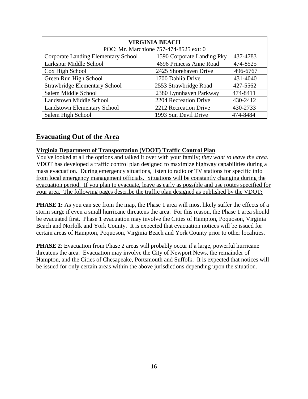| <b>VIRGINIA BEACH</b>                      |                                        |          |  |  |
|--------------------------------------------|----------------------------------------|----------|--|--|
|                                            | POC: Mr. Marchione 757-474-8525 ext: 0 |          |  |  |
| <b>Corporate Landing Elementary School</b> | 1590 Corporate Landing Pky             | 437-4783 |  |  |
| Larkspur Middle School                     | 4696 Princess Anne Road                | 474-8525 |  |  |
| Cox High School                            | 2425 Shorehaven Drive                  | 496-6767 |  |  |
| Green Run High School                      | 1700 Dahlia Drive                      | 431-4040 |  |  |
| <b>Strawbridge Elementary School</b>       | 2553 Strawbridge Road                  | 427-5562 |  |  |
| Salem Middle School                        | 2380 Lynnhaven Parkway                 | 474-8411 |  |  |
| <b>Landstown Middle School</b>             | 2204 Recreation Drive                  | 430-2412 |  |  |
| <b>Landstown Elementary School</b>         | 2212 Recreation Drive                  | 430-2733 |  |  |
| Salem High School                          | 1993 Sun Devil Drive                   | 474-8484 |  |  |

### **Evacuating Out of the Area**

### **Virginia Department of Transportation (VDOT) Traffic Control Plan**

You've looked at all the options and talked it over with your family; *they want to leave the area.*  VDOT has developed a traffic control plan designed to maximize highway capabilities during a mass evacuation. During emergency situations, listen to radio or TV stations for specific info from local emergency management officials. Situations will be constantly changing during the evacuation period. If you plan to evacuate, leave as early as possible and use routes specified for your area. The following pages describe the traffic plan designed as published by the VDOT**:**

**PHASE 1:** As you can see from the map, the Phase 1 area will most likely suffer the effects of a storm surge if even a small hurricane threatens the area. For this reason, the Phase 1 area should be evacuated first. Phase 1 evacuation may involve the Cities of Hampton, Poquoson, Virginia Beach and Norfolk and York County. It is expected that evacuation notices will be issued for certain areas of Hampton, Poquoson, Virginia Beach and York County prior to other localities.

**PHASE 2**: Evacuation from Phase 2 areas will probably occur if a large, powerful hurricane threatens the area. Evacuation may involve the City of Newport News, the remainder of Hampton, and the Cities of Chesapeake, Portsmouth and Suffolk. It is expected that notices will be issued for only certain areas within the above jurisdictions depending upon the situation.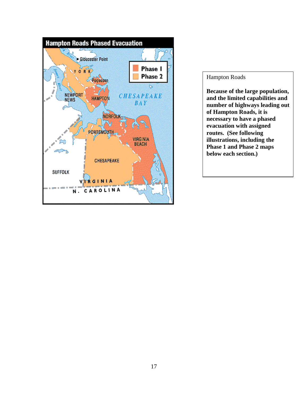

### Hampton Roads

**Because of the large population, and the limited capabilities and number of highways leading out of Hampton Roads, it is necessary to have a phased evacuation with assigned routes. (See following illustrations, including the Phase 1 and Phase 2 maps below each section.)**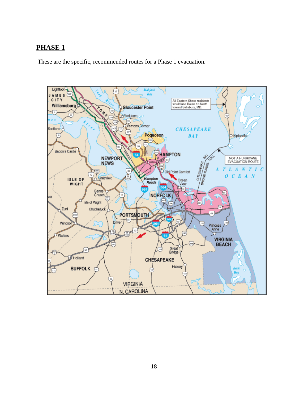### **PHASE 1**

These are the specific, recommended routes for a Phase 1 evacuation.

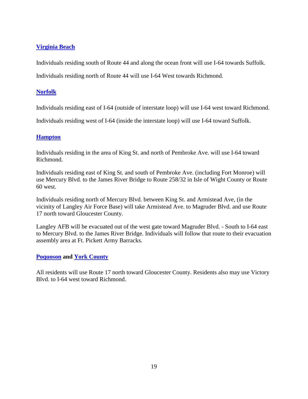### **[Virginia Beach](http://www.uscg.mil/mlclant/iscportsmouth/hur_vab1.html)**

Individuals residing south of Route 44 and along the ocean front will use I-64 towards Suffolk.

Individuals residing north of Route 44 will use I-64 West towards Richmond.

### **[Norfolk](http://www.uscg.mil/mlclant/iscportsmouth/hur_nor1.html)**

Individuals residing east of I-64 (outside of interstate loop) will use I-64 west toward Richmond.

Individuals residing west of I-64 (inside the interstate loop) will use I-64 toward Suffolk.

### **[Hampton](http://www.uscg.mil/mlclant/iscportsmouth/hur_poq1.html)**

Individuals residing in the area of King St. and north of Pembroke Ave. will use I-64 toward Richmond.

Individuals residing east of King St. and south of Pembroke Ave. (including Fort Monroe) will use Mercury Blvd. to the James River Bridge to Route 258/32 in Isle of Wight County or Route 60 west.

Individuals residing north of Mercury Blvd. between King St. and Armistead Ave, (in the vicinity of Langley Air Force Base) will take Armistead Ave. to Magruder Blvd. and use Route 17 north toward Gloucester County.

Langley AFB will be evacuated out of the west gate toward Magruder Blvd. - South to I-64 east to Mercury Blvd. to the James River Bridge. Individuals will follow that route to their evacuation assembly area at Ft. Pickett Army Barracks.

### **[Poquoson](http://www.uscg.mil/mlclant/iscportsmouth/hur_poq1.html) and [York County](http://www.uscg.mil/mlclant/iscportsmouth/hur_yor1.html)**

All residents will use Route 17 north toward Gloucester County. Residents also may use Victory Blvd. to I-64 west toward Richmond.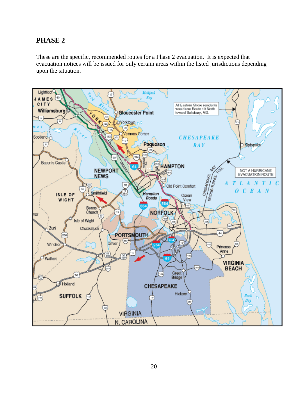### **PHASE 2**

These are the specific, recommended routes for a Phase 2 evacuation. It is expected that evacuation notices will be issued for only certain areas within the listed jurisdictions depending upon the situation.

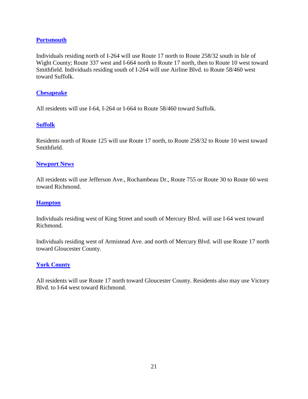### **[Portsmouth](http://www.uscg.mil/mlclant/iscportsmouth/hur_che2.html)**

Individuals residing north of I-264 will use Route 17 north to Route 258/32 south in Isle of Wight County; Route 337 west and I-664 north to Route 17 north, then to Route 10 west toward Smithfield. Individuals residing south of I-264 will use Airline Blvd. to Route 58/460 west toward Suffolk.

### **[Chesapeake](http://www.uscg.mil/mlclant/iscportsmouth/hur_che2.html)**

All residents will use I-64, I-264 or I-664 to Route 58/460 toward Suffolk.

### **[Suffolk](http://www.uscg.mil/mlclant/iscportsmouth/hur_suf2.html)**

Residents north of Route 125 will use Route 17 north, to Route 258/32 to Route 10 west toward Smithfield.

### **[Newport News](http://www.uscg.mil/mlclant/iscportsmouth/hur_new2.html)**

All residents will use Jefferson Ave., Rochambeau Dr., Route 755 or Route 30 to Route 60 west toward Richmond.

### **[Hampton](http://www.uscg.mil/mlclant/iscportsmouth/hur_ham2.html)**

Individuals residing west of King Street and south of Mercury Blvd. will use I-64 west toward Richmond.

Individuals residing west of Armistead Ave. and north of Mercury Blvd. will use Route 17 north toward Gloucester County.

### **[York County](http://www.uscg.mil/mlclant/iscportsmouth/hur_yor1.html)**

All residents will use Route 17 north toward Gloucester County. Residents also may use Victory Blvd. to I-64 west toward Richmond.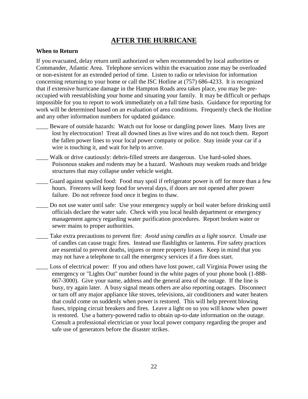### **AFTER THE HURRICANE**

### **When to Return**

If you evacuated, delay return until authorized or when recommended by local authorities or Commander, Atlantic Area. Telephone services within the evacuation zone may be overloaded or non-existent for an extended period of time. Listen to radio or television for information concerning returning to your home or call the ISC Hotline at (757) 686-4233. It is recognized that if extensive hurricane damage in the Hampton Roads area takes place, you may be preoccupied with reestablishing your home and situating your family. It may be difficult or perhaps impossible for you to report to work immediately on a full time basis. Guidance for reporting for work will be determined based on an evaluation of area conditions. Frequently check the Hotline and any other information numbers for updated guidance.

- Beware of outside hazards: Watch out for loose or dangling power lines. Many lives are lost by electrocution! Treat all downed lines as live wires and do not touch them. Report the fallen power lines to your local power company or police. Stay inside your car if a wire is touching it, and wait for help to arrive.
- Walk or drive cautiously: debris-filled streets are dangerous. Use hard-soled shoes. Poisonous snakes and rodents may be a hazard. Washouts may weaken roads and bridge structures that may collapse under vehicle weight.
- \_\_\_\_ Guard against spoiled food: Food may spoil if refrigerator power is off for more than a few hours. Freezers will keep food for several days, if doors are not opened after power failure. Do not refreeze food once it begins to thaw.
- Do not use water until safe: Use your emergency supply or boil water before drinking until officials declare the water safe. Check with you local health department or emergency management agency regarding water purification procedures. Report broken water or sewer mains to proper authorities.
- Take extra precautions to prevent fire: *Avoid using candles as a light source*. Unsafe use of candles can cause tragic fires. Instead use flashlights or lanterns. Fire safety practices are essential to prevent deaths, injures or more property losses. Keep in mind that you may not have a telephone to call the emergency services if a fire does start.
- Loss of electrical power: If you and others have lost power, call Virginia Power using the emergency or "Lights Out" number found in the white pages of your phone book (1-888- 667-3000). Give your name, address and the general area of the outage. If the line is busy, try again later. A busy signal means others are also reporting outages. Disconnect or turn off any major appliance like stoves, televisions, air conditioners and water heaters that could come on suddenly when power is restored. This will help prevent blowing fuses, tripping circuit breakers and fires. Leave a light on so you will know when power is restored. Use a battery-powered radio to obtain up-to-date information on the outage. Consult a professional electrician or your local power company regarding the proper and safe use of generators before the disaster strikes.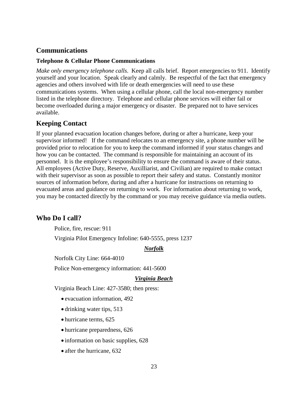### **Communications**

### **Telephone & Cellular Phone Communications**

*Make only emergency telephone calls*. Keep all calls brief. Report emergencies to 911. Identify yourself and your location. Speak clearly and calmly. Be respectful of the fact that emergency agencies and others involved with life or death emergencies will need to use these communications systems. When using a cellular phone, call the local non-emergency number listed in the telephone directory. Telephone and cellular phone services will either fail or become overloaded during a major emergency or disaster. Be prepared not to have services available.

### **Keeping Contact**

If your planned evacuation location changes before, during or after a hurricane, keep your supervisor informed! If the command relocates to an emergency site, a phone number will be provided prior to relocation for you to keep the command informed if your status changes and how you can be contacted. The command is responsible for maintaining an account of its personnel. It is the employee's responsibility to ensure the command is aware of their status. All employees (Active Duty, Reserve, Auxilliarist, and Civilian) are required to make contact with their supervisor as soon as possible to report their safety and status. Constantly monitor sources of information before, during and after a hurricane for instructions on returning to evacuated areas and guidance on returning to work. For information about returning to work, you may be contacted directly by the command or you may receive guidance via media outlets.

### **Who Do I call?**

Police, fire, rescue: 911

Virginia Pilot Emergency Infoline: 640-5555, press 1237

### *Norfolk*

Norfolk City Line: 664-4010

Police Non-emergency information: 441-5600

### *Virginia Beach*

Virginia Beach Line: 427-3580; then press:

- evacuation information, 492
- drinking water tips, 513
- hurricane terms, 625
- hurricane preparedness, 626
- information on basic supplies, 628
- after the hurricane, 632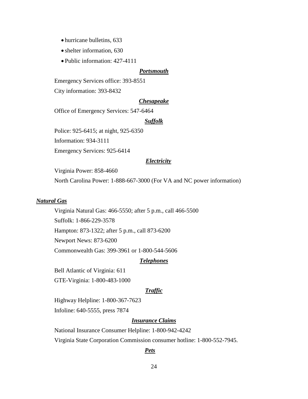- hurricane bulletins, 633
- shelter information, 630
- Public information: 427-4111

#### *Portsmouth*

Emergency Services office: 393-8551

City information: 393-8432

### *Chesapeake*

Office of Emergency Services: 547-6464

*Suffolk*

Police: 925-6415; at night, 925-6350

Information: 934-3111

Emergency Services: 925-6414

### *Electricity*

Virginia Power: 858-4660 North Carolina Power: 1-888-667-3000 (For VA and NC power information)

### *Natural Gas*

Virginia Natural Gas: 466-5550; after 5 p.m., call 466-5500 Suffolk: 1-866-229-3578 Hampton: 873-1322; after 5 p.m., call 873-6200 Newport News: 873-6200 Commonwealth Gas: 399-3961 or 1-800-544-5606

### *Telephones*

Bell Atlantic of Virginia: 611 GTE-Virginia: 1-800-483-1000

### *Traffic*

Highway Helpline: 1-800-367-7623 Infoline: 640-5555, press 7874

#### *Insurance Claims*

National Insurance Consumer Helpline: 1-800-942-4242

Virginia State Corporation Commission consumer hotline: 1-800-552-7945.

### *Pets*